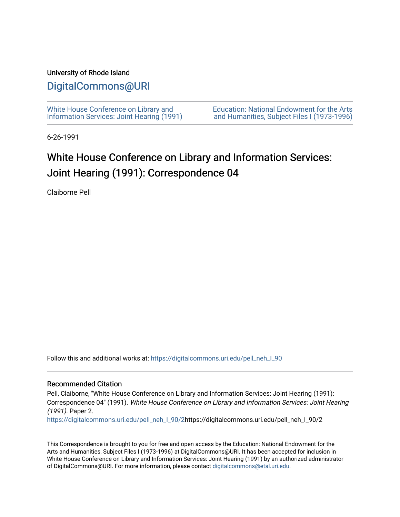### University of Rhode Island

### [DigitalCommons@URI](https://digitalcommons.uri.edu/)

[White House Conference on Library and](https://digitalcommons.uri.edu/pell_neh_I_90) [Information Services: Joint Hearing \(1991\)](https://digitalcommons.uri.edu/pell_neh_I_90) [Education: National Endowment for the Arts](https://digitalcommons.uri.edu/pell_neh_I)  [and Humanities, Subject Files I \(1973-1996\)](https://digitalcommons.uri.edu/pell_neh_I) 

6-26-1991

## White House Conference on Library and Information Services: Joint Hearing (1991): Correspondence 04

Claiborne Pell

Follow this and additional works at: [https://digitalcommons.uri.edu/pell\\_neh\\_I\\_90](https://digitalcommons.uri.edu/pell_neh_I_90?utm_source=digitalcommons.uri.edu%2Fpell_neh_I_90%2F2&utm_medium=PDF&utm_campaign=PDFCoverPages) 

#### Recommended Citation

Pell, Claiborne, "White House Conference on Library and Information Services: Joint Hearing (1991): Correspondence 04" (1991). White House Conference on Library and Information Services: Joint Hearing (1991). Paper 2.

[https://digitalcommons.uri.edu/pell\\_neh\\_I\\_90/2h](https://digitalcommons.uri.edu/pell_neh_I_90/2?utm_source=digitalcommons.uri.edu%2Fpell_neh_I_90%2F2&utm_medium=PDF&utm_campaign=PDFCoverPages)ttps://digitalcommons.uri.edu/pell\_neh\_I\_90/2

This Correspondence is brought to you for free and open access by the Education: National Endowment for the Arts and Humanities, Subject Files I (1973-1996) at DigitalCommons@URI. It has been accepted for inclusion in White House Conference on Library and Information Services: Joint Hearing (1991) by an authorized administrator of DigitalCommons@URI. For more information, please contact [digitalcommons@etal.uri.edu](mailto:digitalcommons@etal.uri.edu).